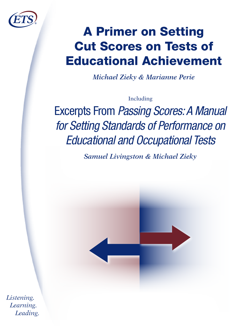

# A Primer on Setting Cut Scores on Tests of Educational Achievement

*Michael Zieky & Marianne Perie*

Including

Excerpts From Passing Scores: A Manual for Setting Standards of Performance on Educational and Occupational Tests

*Samuel Livingston & Michael Zieky*



*Listening. Learning. Leading.*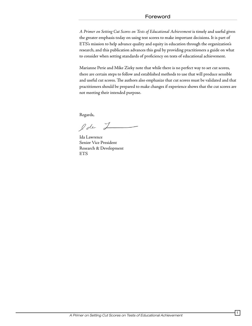#### Foreword

*A Primer on Setting Cut Scores on Tests of Educational Achievement* is timely and useful given the greater emphasis today on using test scores to make important decisions. It is part of ETS's mission to help advance quality and equity in education through the organization's research, and this publication advances this goal by providing practitioners a guide on what to consider when setting standards of proficiency on tests of educational achievement.

Marianne Perie and Mike Zieky note that while there is no perfect way to set cut scores, there are certain steps to follow and established methods to use that will produce sensible and useful cut scores. The authors also emphasize that cut scores must be validated and that practitioners should be prepared to make changes if experience shows that the cut scores are not meeting their intended purpose.

Regards,

lde Z

Ida Lawrence Senior Vice President Research & Development ETS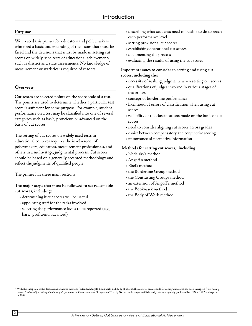#### **Purpose**

We created this primer for educators and policymakers who need a basic understanding of the issues that must be faced and the decisions that must be made in setting cut scores on widely used tests of educational achievement, such as district and state assessments. No knowledge of measurement or statistics is required of readers.

#### **Overview**

Cut scores are selected points on the score scale of a test. The points are used to determine whether a particular test score is sufficient for some purpose. For example, student performance on a test may be classified into one of several categories such as basic, proficient, or advanced on the basis of cut scores.

The setting of cut scores on widely used tests in educational contexts requires the involvement of policymakers, educators, measurement professionals, and others in a multi-stage, judgmental process. Cut scores should be based on a generally accepted methodology and reflect the judgments of qualified people.

The primer has three main sections:

**The major steps that must be followed to set reasonable cut scores, including:**

- determining if cut scores will be useful
- appointing staff for the tasks involved
- selecting the performance levels to be reported (e.g., basic, proficient, advanced)
- describing what students need to be able to do to reach each performance level
- setting provisional cut scores
- establishing operational cut scores
- documenting the process
- evaluating the results of using the cut scores

#### **Important issues to consider in setting and using cut scores, including the:**

- necessity of making judgments when setting cut scores
- qualifications of judges involved in various stages of the process
- concept of borderline performance
- likelihood of errors of classification when using cut scores
- reliability of the classifications made on the basis of cut scores
- need to consider aligning cut scores across grades
- choice between compensatory and conjunctive scoring
- importance of normative information

#### Methods for setting cut scores,<sup>1</sup> including:

- Nedelsky's method
- Angoff 's method
- Ebel's method
- the Borderline Group method
- the Contrasting Groups method
- an extension of Angoff 's method
- the Bookmark method
- the Body of Work method

<sup>1</sup> With the exception of the discussions of newer methods (extended Angoff, Bookmark, and Body of Work), the material on methods for setting cut scores has been excerpted from *Passing Scores: A Manual for Setting Standards of Performance on Educational and Occupational Tests* by Samuel A. Livingston & Michael J. Zieky, originally published by ETS in 1982 and reprinted in 2004.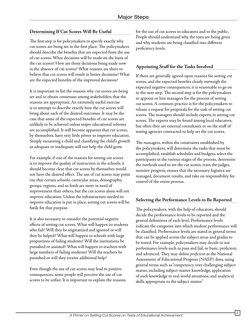# **Determining If Cut Scores Will Be Useful**

The first step is for policymakers to specify exactly why cut scores are being set in the first place. The policymakers should describe the benefits that are expected from the use of cut scores. What decisions will be made on the basis of the cut scores? How are those decisions being made now in the absence of cut scores? What reasons are there to believe that cut scores will result in better decisions? What are the expected benefits of the improved decisions?

It is important to list the reasons why cut scores are being set and to obtain consensus among stakeholders that the reasons are appropriate. An extremely useful exercise is to attempt to describe exactly how the cut scores will bring about each of the desired outcomes. It may be the case that some of the expected benefits of cut scores are unlikely to be achieved unless major educational reforms are accomplished. It will become apparent that cut scores, by themselves, have very little power to improve education. Simply measuring a child and classifying the child's growth as adequate or inadequate will not help the child grow.

For example, if one of the reasons for setting cut scores is to improve the quality of instruction in the schools, it should become clear that cut scores by themselves would not have the desired effect. The use of cut scores may point out that certain schools, curricular areas, demographic groups, regions, and so forth are more in need of improvement than others, but the cut scores alone will not improve education. Unless the infrastructure needed to improve education is put in place, setting cut scores will be futile for that purpose.

It is also necessary to consider the potential negative effects of setting cut scores. What will happen to students who fail? Will they be stigmatized and ignored or will they be helped? What will happen to schools with large proportions of failing students? Will the institutions be punished or assisted? What will happen to teachers with large numbers of failing students? Will the teachers be punished or will they receive additional help?

Even though the use of cut scores may lead to positive consequences, some people will perceive the use of cut scores to be unfair. It is important to explain the reasons for the use of cut scores to educators and to the public. People should understand why the tests are being given and why students are being classified into different proficiency levels.

# **Appointing Staff for the Tasks Involved**

If there are generally agreed-upon reasons for setting cut scores, and the expected benefits clearly outweigh the expected negative consequences, it is reasonable to go on to the next step. The second step is for the policymakers to appoint or hire managers for the process of setting cut scores. A common practice is for the policymakers to release a request for proposals for the task of setting cut scores. The managers should include experts in setting cut scores. The experts may be found among local educators, but often they are external consultants or on the staff of testing agencies contracted to help set the cut scores.

The managers, within the constraints established by the policymakers, will determine the tasks that must be accomplished, establish schedules and budgets, select the participants in the various stages of the process, determine the methods used to set the cut scores, train the judges, monitor progress, ensure that the necessary logistics are managed, document results, and take on responsibility for control of the entire process.

# **Selecting the Performance Levels to Be Reported**

The policymakers, with the help of educators, should decide the performance levels to be reported and the general definitions of each level. Performance levels indicate the categories into which student performance will be classified. Performance levels are stated in general terms that can be applied across the subject areas and grades to be tested. For example, policymakers may decide to use performance levels such as pass and fail, or basic, proficient, and advanced. They may define *proficient* as the National Assessment of Educational Progress (NAEP) does, using general terms such as "competency over challenging subject matter, including subject-matter knowledge, application of such knowledge to real-world situations, and analytical skills appropriate to the subject matter."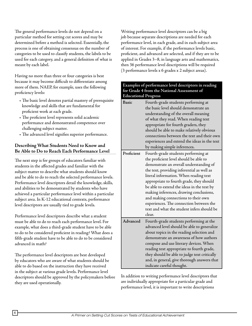The general performance levels do not depend on a particular method for setting cut scores and may be determined before a method is selected. Essentially, the process is one of obtaining consensus on the number of categories to be used to classify students, the labels to be used for each category, and a general definition of what is meant by each label.

Having no more than three or four categories is best because it may become difficult to differentiate among more of them. NAEP, for example, uses the following proficiency levels:

- The basic level denotes partial mastery of prerequisite knowledge and skills that are fundamental for proficient work at each grade.
- The proficient level represents solid academic performance and demonstrated competence over challenging subject matter.
- The advanced level signifies superior performance.

# **Describing What Students Need to Know and Be Able to Do to Reach Each Performance Level**

The next step is for groups of educators familiar with students in the affected grades and familiar with the subject matter to describe what students should know and be able to do to reach the selected performance levels. Performance level descriptors detail the knowledge, skills, and abilities to be demonstrated by students who have achieved a particular performance level within a particular subject area. In K-12 educational contexts, performance level descriptors are usually tied to grade levels.

Performance level descriptors describe what a student must be able to do to reach each performance level. For example, what does a third-grade student have to be able to do to be considered proficient in reading? What does a fifth-grade student have to be able to do to be considered advanced in math?

The performance level descriptors are best developed by educators who are aware of what students should be able to do based on the instruction they have received in the subject at various grade levels. Performance level descriptors should be approved by the policymakers before they are used operationally.

Writing performance level descriptors can be a big job because separate descriptions are needed for each performance level, in each grade, and in each subject area of interest. For example, if the performance levels basic, proficient, and advanced are selected, and if they are to be applied in Grades 3–8, in language arts and mathematics, then 36 performance level descriptions will be required (3 performance levels x 6 grades x 2 subject areas).

| Examples of performance level descriptors in reading |
|------------------------------------------------------|
| for Grade 4 from the National Assessment of          |
| <b>Educational Progress</b>                          |
|                                                      |

| <b>Basic</b> | Fourth-grade students performing at<br>the basic level should demonstrate an<br>understanding of the overall meaning<br>of what they read. When reading text<br>appropriate for fourth graders, they<br>should be able to make relatively obvious<br>connections between the text and their own<br>experiences and extend the ideas in the text<br>by making simple inferences.                                                                                                                 |
|--------------|-------------------------------------------------------------------------------------------------------------------------------------------------------------------------------------------------------------------------------------------------------------------------------------------------------------------------------------------------------------------------------------------------------------------------------------------------------------------------------------------------|
| Proficient   | Fourth-grade students performing at<br>the proficient level should be able to<br>demonstrate an overall understanding of<br>the text, providing inferential as well as<br>literal information. When reading text<br>appropriate to fourth grade, they should<br>be able to extend the ideas in the text by<br>making inferences, drawing conclusions,<br>and making connections to their own<br>experiences. The connection between the<br>text and what the student infers should be<br>clear. |
| Advanced     | Fourth-grade students performing at the<br>advanced level should be able to generalize<br>about topics in the reading selection and<br>demonstrate an awareness of how authors<br>compose and use literary devices. When<br>reading text appropriate to fourth grade,<br>they should be able to judge text critically<br>and, in general, give thorough answers that<br>indicate careful thought.                                                                                               |

In addition to writing performance level descriptors that are individually appropriate for a particular grade and performance level, it is important to write descriptions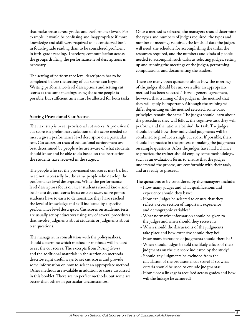that make sense across grades and performance levels. For example, it would be confusing and inappropriate if more knowledge and skill were required to be considered basic in fourth-grade reading than to be considered proficient in fifth-grade reading. Therefore, communication across the groups drafting the performance level descriptions is necessary.

The setting of performance level descriptors has to be completed before the setting of cut scores can begin. Writing performance-level descriptions and setting cut scores at the same meetings using the same people is possible, but sufficient time must be allotted for both tasks.

# **Setting Provisional Cut Scores**

The next step is to set provisional cut scores. A provisional cut score is a preliminary selection of the score needed to meet a given performance level descriptor on a particular test. Cut scores on tests of educational achievement are best determined by people who are aware of what students should know and be able to do based on the instruction the students have received in the subject.

The people who set the provisional cut scores may be, but need not necessarily be, the same people who develop the performance level descriptors. While the performance level descriptors focus on *what* students should know and be able to do, cut scores focus on *how many* score points students have to earn to demonstrate they have reached the level of knowledge and skill indicated by a specific performance level descriptor. Cut scores on academic tests are usually set by educators using any of several procedures that involve judgments about students or judgments about test questions.

The managers, in consultation with the policymakers, should determine which method or methods will be used to set the cut scores. The excerpts from *Passing Scores* and the additional materials in the section on methods describe eight useful ways to set cut scores and provide some information on how to select an appropriate method. Other methods are available in addition to those discussed in this booklet. There are no perfect methods, but some are better than others in particular circumstances.

Once a method is selected, the managers should determine the types and numbers of judges required, the types and number of meetings required, the kinds of data the judges will need, the schedule for accomplishing the tasks, the resources required, and the numbers and kinds of people needed to accomplish such tasks as selecting judges, setting up and running the meetings of the judges, performing computations, and documenting the studies.

There are many open questions about how the meetings of the judges should be run, even after an appropriate method has been selected. There is general agreement, however, that training of the judges in the method that they will apply is important. Although the training will differ depending on the method selected, some basic principles remain the same. The judges should learn about the procedures they will follow, the cognitive task they will perform, and the rationale behind the task. The judges should be told how their individual judgments will be combined to produce a single cut score. If possible, there should be practice in the process of making the judgments on sample questions. After the judges have had a chance to practice, the trainer should employ some methodology, such as an evaluation form, to ensure that the judges understand the process, are comfortable with their task, and are ready to proceed.

#### **The questions to be considered by the managers include:**

- How many judges and what qualifications and experience should they have?
- How can judges be selected to ensure that they reflect a cross section of important experience and demographic variables?
- What normative information should be given to the judges and when should they receive it?
- When should the discussions of the judgments take place and how extensive should they be?
- How many iterations of judgments should there be?
- When should judges be told the likely effects of their judgments on the cut score indicated by the study?
- Should any judgments be excluded from the calculation of the provisional cut score? If so, what criteria should be used to exclude judgments?
- How close a linkage is required across grades and how will the linkage be achieved?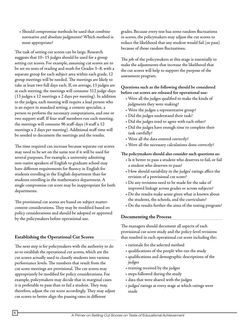• Should compromise methods be used that combine normative and absolute judgments? Which method is most appropriate?

The task of setting cut scores can be large. Research suggests that 10–15 judges should be used for a group setting cut scores. For example, assuming cut scores are to be set on tests of reading and math for Grades 3–8, with a separate group for each subject area within each grade, 12 group meetings will be needed. The meetings are likely to take at least two full days each. If, on average, 13 judges are at each meeting, the meetings will consume 312 judge-days (13 judges x 12 meetings x 2 days per meeting). In addition to the judges, each meeting will require a lead person who is an expert in standard setting, a content specialist, a person to perform the necessary computations, and one or two support staff. If four staff members run each meeting, the meetings will consume 96 staff-days (4 staff x 12 meetings x 2 days per meeting). Additional staff time will be needed to document the meetings and the results.

The time required can increase because separate cut scores may need to be set on the same test if it will be used for several purposes. For example, a university admitting non-native speakers of English to graduate school may have different requirements for fluency in English for students enrolling in the English department than for students enrolling in the mathematics department. A single compromise cut score may be inappropriate for both departments.

The provisional cut scores are based on subject mattercontent considerations. They may be modified based on policy considerations and should be adopted or approved by the policymakers before operational use.

#### **Establishing the Operational Cut Scores**

The next step is for policymakers with the authority to do so to establish the operational cut scores, which are the cut scores actually used to classify students into various performance levels. The numbers that result from the cut score meetings are provisional. The cut scores may appropriately be modified for policy considerations. For example, policymakers may decide that in marginal cases it is preferable to pass than to fail a student. They may, therefore, adjust the cut score accordingly. They may adjust cut scores to better align the passing rates in different

grades. Because every test has some random fluctuations in scores, the policymakers may adjust the cut scores to reduce the likelihood that any student would fail (or pass) because of those random fluctuations.

The job of the policymakers at this stage is essentially to make the adjustments that increase the likelihood that the cut scores will help to support the purpose of the assessment program.

#### **Questions such as the following should be considered before cut scores are released for operational use:**

- Were all the judges qualified to make the kinds of judgments they were making?
- Were the judges a representative group?
- Did the judges understand their task?
- Did the judges tend to agree with each other?
- Did the judges have enough time to complete their task carefully?
- Were all the data entered correctly?
- Were all the necessary calculations done correctly?

#### **The policymakers should also consider such questions as:**

- Is it better to pass a student who deserves to fail, or fail a student who deserves to pass?
- How should variability in the judges' ratings affect the revision of a provisional cut score?
- Do any revisions need to be made for the sake of improved linkage across grades or across subjects?
- Do the results make sense given what is known about the students, the schools, and the curriculum?
- Do the results further the aims of the testing program?

#### **Documenting the Process**

The managers should document all aspects of each provisional cut score study and the policy-level revisions that resulted in each operational cut score including the:

- rationale for the selected method
- qualifications of the people who ran the study
- qualifications and demographic descriptions of the judges
- training received by the judges
- steps followed during the study
- data that were shared with the judges
- judges' ratings at every stage at which ratings were made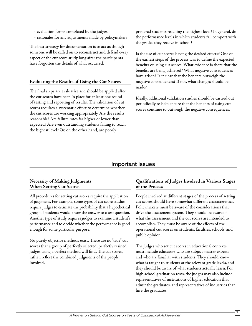- evaluation forms completed by the judges
- rationales for any adjustments made by policymakers

The best strategy for documentation is to act as though someone will be called on to reconstruct and defend every aspect of the cut score study long after the participants have forgotten the details of what occurred.

#### **Evaluating the Results of Using the Cut Scores**

The final steps are evaluative and should be applied after the cut scores have been in place for at least one round of testing and reporting of results. The validation of cut scores requires a systematic effort to determine whether the cut scores are working appropriately. Are the results reasonable? Are failure rates far higher or lower than expected? Are even outstanding students failing to reach the highest level? Or, on the other hand, are poorly

prepared students reaching the highest level? In general, do the performance levels in which students fall comport with the grades they receive in school?

Is the use of cut scores having the desired effects? One of the earliest steps of the process was to define the expected benefits of using cut scores. What evidence is there that the benefits are being achieved? What negative consequences have arisen? Is it clear that the benefits outweigh the negative consequences? If not, what changes should be made?

Ideally, additional validation studies should be carried out periodically to help ensure that the benefits of using cut scores continue to outweigh the negative consequences.

# Important Issues

#### **Necessity of Making Judgments When Setting Cut Scores**

All procedures for setting cut scores require the application of judgment. For example, some types of cut score studies require judges to estimate the probability that a hypothetical group of students would know the answer to a test question. Another type of study requires judges to examine a student's performance and to decide whether the performance is good enough for some particular purpose.

No purely objective methods exist. There are no "true" cut scores that a group of perfectly selected, perfectly trained judges using a perfect method will find. The cut scores, rather, reflect the combined judgments of the people involved.

#### **Qualifications of Judges Involved in Various Stages of the Process**

People involved at different stages of the process of setting cut scores should have somewhat different characteristics. Policymakers must be aware of the considerations that drive the assessment system. They should be aware of what the assessment and the cut scores are intended to accomplish. They must be aware of the effects of the operational cut scores on students, faculties, schools, and public opinion.

The judges who set cut scores in educational contexts must include educators who are subject-matter experts and who are familiar with students. They should know what is taught to students at the relevant grade levels, and they should be aware of what students actually learn. For high school graduation tests, the judges may also include representatives of institutions of higher education that admit the graduates, and representatives of industries that hire the graduates.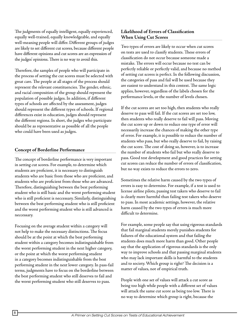The judgments of equally intelligent, equally experienced, equally well-trained, equally knowledgeable, and equally well-meaning people will differ. Different groups of judges are likely to set different cut scores, because different people have different opinions and cut scores are an expression of the judges' opinions. There is no way to avoid this.

Therefore, the samples of people who will participate in the process of setting the cut scores must be selected with great care. The people at all stages of the process should represent the relevant constituencies. The gender, ethnic, and racial composition of the group should represent the population of possible judges. In addition, if different types of schools are affected by the assessment, judges should represent the different types of schools. If regional differences exist in education, judges should represent the different regions. In short, the judges who participate should be as representative as possible of all the people who could have been used as judges.

#### **Concept of Borderline Performance**

The concept of borderline performance is very important in setting cut scores. For example, to determine which students are proficient, it is necessary to distinguish students who are basic from those who are proficient, and students who are proficient from those who are advanced. Therefore, distinguishing between the best performing student who is still basic and the worst performing student who is still proficient is neccessary. Similarly, distinguishing between the best performing student who is still proficient and the worst performing student who is still advanced is neccessary.

Focusing on the average student within a category will not help to make the necessary distinctions. The focus should be at the point at which the best performing student within a category becomes indistinguishable from the worst performing student in the next higher category, or the point at which the worst performing student in a category becomes indistinguishable from the best performing student in the next lower category. In pass-fail terms, judgments have to focus on the borderline between the best performing student who still deserves to fail and the worst performing student who still deserves to pass.

# **Likelihood of Errors of Classification When Using Cut Scores**

Two types of errors are likely to occur when cut scores on tests are used to classify students. These errors of classification do not occur because someone made a mistake. The errors will occur because no test can be perfectly reliable or perfectly valid, and because no method of setting cut scores is perfect. In the following discussion, the categories of pass and fail will be used because they are easiest to understand in this context. The same logic applies, however, regardless of the labels chosen for the performance levels, or the number of levels chosen.

If the cut scores are set too high, then students who really deserve to pass will fail. If the cut scores are set too low, then students who really deserve to fail will pass. Moving the cut score up or down to reduce one type of error will necessarily increase the chances of making the other type of error. For example, it is possible to reduce the number of students who pass, but who really deserve to fail, by raising the cut score. The cost of doing so, however, is to increase the number of students who fail but who really deserve to pass. Good test development and good practices for setting cut scores can reduce the number of errors of classification, but no way exists to reduce the errors to zero.

Sometimes the relative harm caused by the two types of errors is easy to determine. For example, if a test is used to license airline pilots, passing test takers who deserve to fail is clearly more harmful than failing test takers who deserve to pass. In most academic settings, however, the relative harm caused by the two types of errors is much more difficult to determine.

For example, some people say that using rigorous standards that fail marginal students merely punishes students for failures of the educational system and that failing the students does much more harm than good. Other people say that the application of rigorous standards is the only way to improve schools and that passing marginal students who may lack important skills is harmful to the students and to society. Which group is right? The decision is a matter of values, not of empirical truth.

People with one set of values will attack a cut score as being too high while people with a different set of values will attack the same cut score as being too low. There is no way to determine which group is right, because the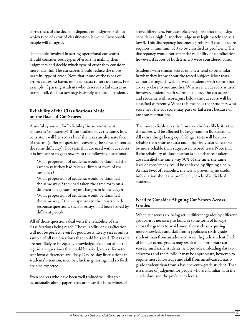correctness of the decision depends on judgments about which type of error of classification is worse. Reasonable people will disagree.

The people involved in setting operational cut scores should consider both types of errors in making their judgments and decide which type of error they consider more harmful. The cut scores should reduce the more harmful type of error. Note that if one of the types of errors causes no harm, no need exists to set cut scores. For example, if passing students who deserve to fail causes no harm at all, the best strategy is simply to pass all students.

# **Reliability of the Classifications Made on the Basis of Cut Scores**

A useful synonym for "reliability" in an assessment context is "consistency." If the student stays the same, how consistent will her scores be if she takes an alternate form of the test (different questions covering the same content at the same difficulty)? For tests that are used with cut scores, it is important to get answers to the following questions:

- What proportion of students would be classified the same way if they had taken a different form of the same test?
- What proportion of students would be classified the same way if they had taken the same form on a different day (assuming no changes in knowledge)?
- What proportion of students would be classified the same way if their responses to the constructedresponse questions, such as essays, had been scored by different people?

All of those questions deal with the reliability of the classifications being made. The reliability of classification will not be perfect, even for good tests. Every test is only a sample of all the questions that could be asked. Test takers are not likely to be equally knowledgeable about all of the legitimate questions that could be asked, so test form to test form differences are likely. Day-to-day fluctuations in students' attention, memory, luck in guessing, and so forth are also expected.

Even scorers who have been well trained will disagree occasionally about papers that are near the borderlines of score differences. For example, a response that one judge considers a high 2, another judge may legitimately see as a low 3. This discrepancy becomes a problem if the cut score requires a minimum of 3 to be classified as proficient. The discrepancy would not affect the reliability of classification, however, if scores of both 2 and 3 were considered basic.

Students with similar scores on a test tend to be similar in what they know about the tested subject. Most tests cannot distinguish well between students with scores that are very close to one another. Whenever a cut score is used, however, students with scores just above the cut score and students with scores just below the cut score will be classified differently. What this means is that students who score near the cut score may pass or fail a test because of random fluctuations.

The more reliable a test is, however, the less likely it is that the scores will be affected by large random fluctuations. All other things being equal, longer tests will be more reliable than shorter tests; and objectively scored tests will be more reliable than subjectively scored tests. Note that if the reliability of classification is such that test takers are classified the same way 50% of the time, the same level of consistency could be achieved by flipping a coin. At that level of reliability, the test is providing no useful information about the proficiency levels of individual students.

# **Need to Consider Aligning Cut Scores Across Grades**

When cut scores are being set in different grades by different groups, it is necessary to build in some form of linkage across the grades to avoid anomalies such as requiring more knowledge and skill from a proficient sixth-grade student than from an advanced seventh-grade student. Lack of linkage across grades may result in inappropriate cut scores, misclassify students, and provide misleading data to educators and the public. It may be appropriate, however, to require more knowledge and skill from an advanced sixthgrade student than from a basic seventh-grade student. That is a matter of judgment for people who are familiar with the curriculum and the proficiency levels.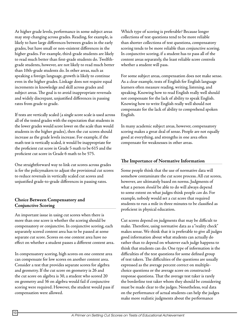At higher grade levels, performance in some subject areas may stop changing across grades. Reading, for example, is likely to have large differences between grades in the early grades, but have small or non-existent differences in the higher grades. For example, third-grade students are likely to read much better than first-grade students do. Twelfthgrade students, however, are not likely to read much better than 10th-grade students do. In other areas, such as speaking a foreign language, growth is likely to continue even in the higher grades. Linkage does not require equal increments in knowledge and skill across grades and subject areas. The goal is to avoid inappropriate reversals and widely discrepant, unjustified differences in passing rates from grade to grade.

If tests are vertically scaled (a single score scale is used across all of the tested grades with the expectation that students in the lower grades would score lower on the scale than would students in the higher grades), then the cut scores should increase as the grade levels increase. For example, if the math test is vertically scaled, it would be inappropriate for the proficient cut score in Grade 5 math to be 615 and the proficient cut score in Grade 6 math to be 575.

One straightforward way to link cut scores across grades is for the policymakers to adjust the provisional cut scores to reduce reversals in vertically scaled cut scores and unjustified grade-to-grade differences in passing rates.

# **Choice Between Compensatory and Conjunctive Scoring**

An important issue in using cut scores when there is more than one score is whether the scoring should be compensatory or conjunctive. In conjunctive scoring, each separately scored content area has to be passed at some separate cut score. Scores on one content area have no effect on whether a student passes a different content area.

In compensatory scoring, high scores on one content area can compensate for low scores on another content area. Consider a test that provides separate scores for algebra and geometry. If the cut score on geometry is 26 and the cut score on algebra is 30, a student who scored 20 on geometry and 36 on algebra would fail if conjunctive scoring were required. However, the student would pass if compensation were allowed.

Which type of scoring is preferable? Because longer collections of test questions tend to be more reliable than shorter collections of test questions, compensatory scoring tends to be more reliable than conjunctive scoring. In conjunctive scoring, if a student has to pass all of the content areas separately, the least reliable score controls whether a student will pass.

For some subject areas, compensation does not make sense. As a clear example, tests of English for English language learners often measure reading, writing, listening, and speaking. Knowing how to read English really well should not compensate for the lack of ability to speak English. Knowing how to write English really well should not compensate for the lack of ability to comprehend spoken English.

In many academic subject areas, however, compensatory scoring makes a great deal of sense. People are not equally good at everything, and strengths in one area often compensate for weaknesses in other areas.

# **The Importance of Normative Information**

Some people think that the use of normative data will somehow contaminate the cut score process. All cut scores, however, are ultimately based on norms. Judgments of what a person *should* be able to do will always depend to some extent on what judges think people *can* do. For example, nobody would set a cut score that required students to run a mile in three minutes to be classified as proficient in physical education.

Cut scores depend on judgments that may be difficult to make. Therefore, using normative data as a "reality check" makes sense. We think that it is preferable to give all judges good information about what students can actually do rather than to depend on whatever each judge happens to think that students can do. One type of information is the difficulties of the test questions for some defined group of test takers. The difficulties of the questions are usually expressed as the average percent correct on multiplechoice questions or the average score on constructedresponse questions. That the average test taker is rarely the borderline test taker whom they should be considering must be made clear to the judges. Nonetheless, real data on the performance of actual students can help the judges make more realistic judgments about the performance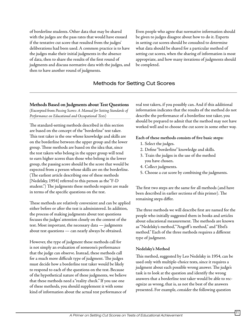of borderline students. Other data that may be shared with the judges are the pass rates that would have ensued if the tentative cut score that resulted from the judges' deliberations had been used. A common practice is to have the judges make their initial judgments in the absence of data, then to share the results of the first round of judgments and discuss normative data with the judges, and then to have another round of judgments.

Even people who agree that normative information should be given to judges disagree about how to do it. Experts in setting cut scores should be consulted to determine what data should be shared for a particular method of setting cut scores, when the sharing of information is most appropriate, and how many iterations of judgments should be completed.

# Methods for Setting Cut Scores

# **Methods Based on Judgments about Test Questions**

(Excerpted from *Passing Scores: A Manual for Setting Standards of Performance on Educational and Occupational Tests*)

The standard-setting methods described in this section are based on the concept of the "borderline" test taker. This test taker is the one whose knowledge and skills are on the borderline between the upper group and the lower group. These methods are based on the idea that, since the test takers who belong in the upper group will tend to earn higher scores than those who belong in the lower group, the passing score should be the score that would be expected from a person whose skills are on the borderline. (The earliest article describing one of these methods [Nedelsky, 1954] referred to this person as the "F-D student.") The judgments these methods require are made in terms of the specific questions on the test.

These methods are relatively convenient and can be applied either before or after the test is administered. In addition, the process of making judgments about test questions focuses the judges' attention closely on the content of the test. Most important, the necessary data — judgments about test questions — can nearly always be obtained.

However, the type of judgment these methods call for is not simply an evaluation of someone's performance that the judge can observe. Instead, these methods call for a much more difficult type of judgment. The judges must decide how a borderline test taker would be likely to respond to each of the questions on the test. Because of the hypothetical nature of these judgments, we believe that these methods need a "reality check." If you use one of these methods, you should supplement it with some kind of information about the actual test performance of real test takers, if you possibly can. And if this additional information indicates that the results of the method do not describe the performance of a borderline test taker, you should be prepared to admit that the method may not have worked well and to choose the cut score in some other way.

#### **Each of these methods consists of five basic steps:**

- 1. Select the judges.
- 2. Define "borderline" knowledge and skills.
- 3. Train the judges in the use of the method you have chosen.
- 4. Collect judgments.
- 5. Choose a cut score by combining the judgments.

The first two steps are the same for all methods (and have been described in earlier sections of this primer). The remaining steps differ.

The three methods we will describe first are named for the people who initially suggested them in books and articles about educational measurement. The methods are known as "Nedelsky's method," "Angoff 's method," and "Ebel's method." Each of the three methods requires a different type of judgment.

#### **Nedelsky's Method**

This method, suggested by Leo Nedelsky in 1954, can be used only with multiple-choice tests, since it requires a judgment about each possible wrong answer. The judge's task is to look at the question and identify the wrong answers that a borderline test taker would be able to recognize as wrong, that is, as not the best of the answers presented. For example, consider the following question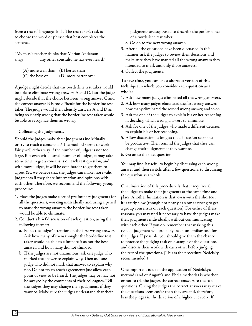from a test of language skills. The test taker's task is to choose the word or phrase that best completes the sentence.

"My music teacher thinks that Marian Anderson sings\_\_\_\_\_\_\_any other contralto he has ever heard."

| $(A)$ more well than $(B)$ better than |                      |
|----------------------------------------|----------------------|
| $(C)$ the best of                      | (D) more better over |

A judge might decide that the borderline test taker would be able to eliminate wrong answers A and D. But the judge might decide that the choice between wrong answer C and the correct answer B is too difficult for the borderline test taker. The judge would then identify answers A and D as being so clearly wrong that the borderline test taker would be able to recognize them as wrong.

#### **Collecting the Judgments.**

Should the judges make their judgments individually or try to reach a consensus? The method seems to work fairly well either way, if the number of judges is not too large. But even with a small number of judges, it may take some time to get a consensus on each test question, and with more judges, it will be even harder to get them to agree. Yet, we believe that the judges can make more valid judgments if they share information and opinions with each other. Therefore, we recommend the following group procedure:

- 1. Have the judges make a set of preliminary judgments for all the questions, working individually and using a pencil to mark the wrong answers the borderline test taker would be able to eliminate.
- 2. Conduct a brief discussion of each question, using the following format:
	- a. Focus the judges' attention on the first wrong answer. Ask how many of them thought the borderline test taker would be able to eliminate it as not the best answer, and how many did not think so.
	- b. If the judges are not unanimous, ask one judge who marked the answer to explain why. Then ask one judge who did not mark that answer to explain why not. Do not try to reach agreement; just allow each point of view to be heard. The judges may or may not be swayed by the comments of their colleagues. Tell the judges they may change their judgments if they want to. Make sure the judges understand that their

judgments are supposed to describe the performance of a borderline test taker.

- c. Go on to the next wrong answer.
- 3. After all the questions have been discussed in this manner, ask the judges to review their decisions and make sure they have marked all the wrong answers they intended to mark and only those answers.
- 4. Collect the judgments.

**To save time, you can use a shortcut version of this technique in which you consider each question as a whole:**

- 1. Ask how many judges eliminated all the wrong answers.
- 2. Ask how many judges eliminated the first wrong answer, how many eliminated the second wrong answer, and so on.
- 3. Ask for one of the judges to explain his or her reasoning in deciding which wrong answers to eliminate.
- 4. Ask for one of the judges who made a different decision to explain his or her reasoning.
- 5. Allow discussion as long as the discussion seems to be productive. Then remind the judges that they can change their judgments if they want to.
- 6. Go on to the next question.

You may find it useful to begin by discussing each wrong answer and then switch, after a few questions, to discussing the question as a whole.

One limitation of this procedure is that it requires all the judges to make their judgments at the same time and place. Another limitation is that, even with the shortcut, it is fairly slow (though not nearly as slow as trying to get a group consensus on each question). For either of these reasons, you may find it necessary to have the judges make their judgments individually, without communicating with each other. If you do, remember that making this type of judgment will probably be an unfamiliar task for the judges. If possible, you should give them the chance to practice the judging task on a sample of the questions and discuss their work with each other before judging the rest of the questions. (This is the procedure Nedelsky recommended.)

One important issue in the application of Nedelsky's method (and of Angoff 's and Ebel's methods) is whether or not to tell the judges the correct answers to the test questions. Giving the judges the correct answers may make the questions seem easier than they are and, therefore, bias the judges in the direction of a higher cut score. If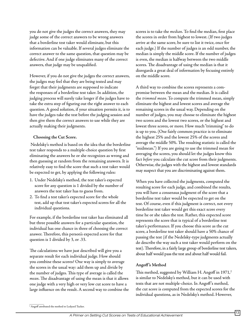you do not give the judges the correct answers, they may judge some of the correct answers to be wrong answers that a borderline test taker would eliminate, but this information can be valuable. If several judges eliminate the correct answer to the same question, that question may be defective. And if one judge eliminates many of the correct answers, that judge may be unqualified.

However, if you do not give the judges the correct answers, the judges may feel that they are being tested and may forget that their judgments are supposed to indicate the responses of a borderline test taker. In addition, the judging process will surely take longer if the judges have to take the extra step of figuring out the right answer to each question. A good solution, if your situation permits it, is to have the judges take the test before the judging session and then give them the correct answers to use while they are actually making their judgments.

#### **Choosing the Cut Score.**

 Nedelsky's method is based on the idea that the borderline test taker responds to a multiple-choice question by first eliminating the answers he or she recognizes as wrong and then guessing at random from the remaining answers. It is relatively easy to find the score that such a test taker would be expected to get, by applying the following rules:

- 1. Under Nedelsky's method, the test taker's expected score for any question is 1 divided by the number of answers the test taker has to guess from.
- 2. To find a test taker's expected score for the whole test, add up that test taker's expected scores for all the individual questions.

For example, if the borderline test taker has eliminated all but three possible answers for a particular question, the individual has one chance in three of choosing the correct answer. Therefore, this person's expected score for that question is 1 divided by 3, or .33.

The calculations we have just described will give you a separate result for each individual judge. How should you combine these scores? One way is simply to average the scores in the usual way: add them up and divide by the number of judges. This type of average is called the *mean*. The disadvantage of using the mean is that it allows one judge with a very high or very low cut score to have a large influence on the result. A second way to combine the scores is to take the *median*. To find the median, first place the scores in order from highest to lowest. (If two judges arrive at the same score, be sure to list it twice, once for each judge.) If the number of judges is an odd number, the median is simply the middle score. If the number of judges is even, the median is halfway between the two middle scores. The disadvantage of using the median is that it disregards a great deal of information by focusing entirely on the middle score.

A third way to combine the scores represents a compromise between the mean and the median. It is called the *trimmed mean*. To compute the trimmed mean, simply eliminate the highest and lowest scores and average the remaining scores in the usual way. Depending on the number of judges, you may choose to eliminate the highest two scores and the lowest two scores, or the highest and lowest three scores, or more. How much "trimming" to do is up to you. (One fairly common practice is to eliminate the highest 25% and the lowest 25% of the scores and average the middle 50%. The resulting statistic is called the "midmean.") If you are going to use the trimmed mean for averaging the scores, you should let the judges know this fact *before* you calculate the cut score from their judgments. Otherwise, the judges with the highest and lowest standards may suspect that you are discriminating against them.

When you have collected the judgments, computed the resulting score for each judge, and combined the results, you will have a consensus judgment of the score that a borderline test taker would be expected to get on the test. Of course, even if this judgment is correct, not every borderline test taker would get this exact score every time he or she takes the test. Rather, this expected score represents the score that is typical of a borderline test taker's performance. If you choose this score as the cut score, a borderline test taker should have a 50% chance of passing the test (if the Nedelsky-type judgments actually do describe the way such a test taker would perform on the test). Therefore, in a fairly large group of borderline test takers, about half would pass the test and about half would fail.

# **Angoff 's Method**

This method, suggested by William H. Angoff in  $1971<sup>2</sup>$ is similar to Nedelsky's method, but it can be used with tests that are not multiple-choice. In Angoff 's method, the cut score is computed from the expected scores for the individual questions, as in Nedelsky's method. However,

<sup>2</sup> Angoff attributed the method to Ledyard Tucker.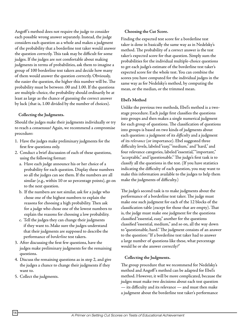Angoff 's method does not require the judge to consider each possible wrong answer separately. Instead, the judge considers each question as a whole and makes a judgment of the probability that a borderline test taker would answer the question correctly. This task may be difficult for some judges. If the judges are not comfortable about making judgments in terms of probabilities, ask them to imagine a group of 100 borderline test takers and decide how many of them would answer the question correctly. Obviously, the easier the question, the higher this number will be. The probability must be between .00 and 1.00. If the questions are multiple-choice, the probability should ordinarily be at least as large as the chance of guessing the correct answer by luck (that is, 1.00 divided by the number of choices).

#### **Collecting the Judgments.**

Should the judges make their judgments individually or try to reach a consensus? Again, we recommend a compromise procedure:

- 1. Have the judges make preliminary judgments for the first few questions only.
- 2. Conduct a brief discussion of each of these questions, using the following format:
	- a. Have each judge announce his or her choice of a probability for each question. Display these numbers so all the judges can see them. If the numbers are all similar (e.g., within 10 or so percentage points), go on to the next question.
	- b. If the numbers are not similar, ask for a judge who chose one of the highest numbers to explain the reasons for choosing a high probability. Then ask for a judge who chose one of the lowest numbers to explain the reasons for choosing a low probability.
	- c. Tell the judges they can change their judgments if they want to. Make sure the judges understand that their judgments are supposed to describe the performance of *borderline* test takers.
- 3. After discussing the first few questions, have the judges make preliminary judgments for the remaining questions.
- 4. Discuss the remaining questions as in step 2, and give the judges a chance to change their judgments if they want to.
- 5. Collect the judgments.

#### **Choosing the Cut Score.**

Finding the expected test score for a borderline test taker is done in basically the same way as in Nedelsky's method. The probability of a correct answer is the test taker's expected score for that question. Simply sum the probabilities for the individual multiple-choice questions to get each judge's estimate of the borderline test taker's expected score for the whole test. You can combine the scores you have computed for the individual judges in the same way as for Nedelsky's method, by computing the mean, or the median, or the trimmed mean.

#### **Ebel's Method**

Unlike the previous two methods, Ebel's method is a twostage procedure. Each judge first classifies the questions into groups and then makes a single numerical judgment for each group of questions. The classification of questions into groups is based on two kinds of judgments about each question: a judgment of its *difficulty* and a judgment of its *relevance* (or importance). Ebel suggested three difficulty levels, labeled "easy," "medium," and "hard," and four relevance categories, labeled "essential," "important," "acceptable," and "questionable." The judge's first task is to classify all the questions in the test. (If you have statistics indicating the difficulty of each question, you may want to make this information available to the judges to help them make the judgments of difficulty.)

The judge's second task is to make judgments about the performance of a borderline test taker. The judge must make one such judgment for each of the 12 blocks of the classification table (except for those that are empty). That is, the judge must make one judgment for the questions classified "essential, easy," another for the questions classified "essential, medium," and so on, all the way down to "questionable, hard." The judgment consists of an answer to the question: "If a borderline test taker had to answer a large number of questions like these, what percentage would he or she answer correctly?"

#### **Collecting the Judgments.**

The group procedure that we recommend for Nedelsky's method and Angoff 's method can be adapted for Ebel's method. However, it will be more complicated, because the judges must make two decisions about each test question — its difficulty and its relevance — and must then make a judgment about the borderline test taker's performance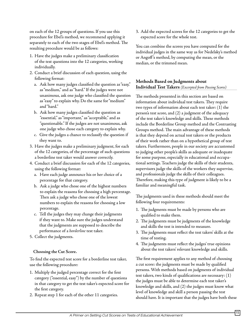on each of the 12 groups of questions. If you use this procedure for Ebel's method, we recommend applying it separately to each of the two stages of Ebel's method. The resulting procedure would be as follows:

- 1. Have the judges make a preliminary classification of the test questions into the 12 categories, working individually.
- 2. Conduct a brief discussion of each question, using the following format:
	- a. Ask how many judges classified the question as "easy," as "medium," and as "hard." If the judges were not unanimous, ask one judge who classified the question as "easy" to explain why. Do the same for "medium" and "hard."
	- b. Ask how many judges classified the question as "essential," as "important," as "acceptable," and as "questionable." If the judges are not unanimous, ask one judge who chose each category to explain why.
	- c. Give the judges a chance to reclassify the question if they want to.
- 3. Have the judges make a preliminary judgment, for each of the 12 categories, of the percentage of such questions a borderline test taker would answer correctly.
- 4. Conduct a brief discussion for each of the 12 categories, using the following format:
	- a. Have each judge announce his or her choice of a percentage for that category.
	- b. Ask a judge who chose one of the highest numbers to explain the reasons for choosing a high percentage. Then ask a judge who chose one of the lowest numbers to explain the reasons for choosing a low percentage.
	- c. Tell the judges they may change their judgments if they want to. Make sure the judges understand that the judgments are supposed to describe the performance of a *borderline* test taker.
- 5. Collect the judgments.

# **Choosing the Cut Score.**

To find the expected test score for a borderline test taker, use the following procedure:

- 1. Multiply the judged percentage correct for the first category ("essential, easy") by the number of questions in that category to get the test taker's expected score for the first category.
- 2. Repeat step 1 for each of the other 11 categories.

3. Add the expected scores for the 12 categories to get the expected score for the whole test.

You can combine the scores you have computed for the individual judges in the same way as for Nedelsky's method or Angoff 's method, by computing the mean, or the median, or the trimmed mean.

# **Methods Based on Judgments about Individual Test Takers** *(Excerpted from Passing Scores)*

The methods presented in this section are based on information about individual test takers. They require two types of information about each test taker: (1) the person's test score, and (2) a judgment of the adequacy of the test taker's knowledge and skills. These methods include the Borderline Group method and the Contrasting Groups method. The main advantage of these methods is that they depend on actual test takers or the products of their work rather than on a hypothetical group of test takers. Furthermore, people in our society are accustomed to judging other people's skills as adequate or inadequate for some purpose, especially in educational and occupational settings. Teachers judge the skills of their students, supervisors judge the skills of the workers they supervise, and professionals judge the skills of their colleagues. Therefore, making this type of judgment is likely to be a familiar and meaningful task.

The judgments used in these methods should meet the following four requirements:

- 1. The judgments must be made by persons who are qualified to make them.
- 2. The judgments must be judgments of the knowledge and skills the test is intended to measure.
- 3. The judgments must reflect the test takers' skills at the time of testing.
- 4. The judgments must reflect the judges' true opinions about the test takers' relevant knowledge and skills.

The first requirement applies to any method of choosing a cut score: the judgments must be made by qualified persons. With methods based on judgments of individual test takers, two kinds of qualifications are necessary: (1) the judges must be able to determine each test taker's knowledge and skills, and (2) the judges must know what level of knowledge and skill a person passing the test should have. It is important that the judges have both these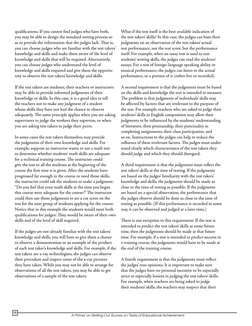qualifications. If you cannot find judges who have both, you may be able to design the standard-setting process so as to provide the information that the judges lack. That is, you can choose judges who are familiar with the test takers' knowledge and skills and make them aware of the level of knowledge and skills that will be required. Alternatively, you can choose judges who understand the level of knowledge and skills required and give them the opportunity to observe the test takers' knowledge and skills.

If the test takers are students, their teachers or instructors may be able to provide informed judgments of their knowledge or skills. In this case, it is a good idea to tell the teachers not to make any judgment of a student whose skills they have not had the chance to observe adequately. The same principle applies when you are asking supervisors to judge the workers they supervise, or when you are asking test takers to judge their peers.

In some cases the test takers themselves may provide the judgments of their own knowledge and skills. For example, suppose an instructor wants to use a math test to determine whether students' math skills are adequate for a technical training course. The instructor could give the test to all the students at the beginning of the course the first time it is given. After the students have progressed far enough in the course to need those skills, the instructor could ask the students to make a judgment: "Do you feel that your math skills at the time you began this course were adequate for the course?" The instructor could then use those judgments to set a cut score on the test for the next group of students applying for the course. Notice that in this example the students would meet both qualifications for judges: They would be aware of their own skills and of the level of skill required.

If the judges are not already familiar with the test takers' knowledge and skills, you will have to give them a chance to observe a demonstration or an example of the product of each test taker's knowledge and skills. For example, if the test takers are x-ray technologists, the judges can observe their procedure and inspect some of the x-ray pictures they have taken. While you may not be able to arrange for observations of all the test takers, you may be able to get observations of a sample of the test takers.

What if the test itself is the best available indication of the test takers' skills? In this case, the judges can base their judgments on an observation of the test takers' actual test performance, not the test score, but the performance itself. For example, when an essay test is used to test students' writing skills, the judges can read the students' essays. For a test of foreign-language speaking ability or musical performance, the judges can listen to the actual performance, or a portion of it (either live or recorded).

A second requirement is that the judgments must be based on the skills and knowledge the test is intended to measure. The problem is that judgments of individuals' skills may be affected by factors that are irrelevant to the purpose of the test. For example, teachers who are asked to judge their students' skills in English composition may allow their judgments to be influenced by the students' understanding of literature, their penmanship, their punctuality in completing assignments, their class participation, and so on. Instructions to the judges can help to reduce the influence of these irrelevant factors. The judges must understand clearly which characteristics of the test takers they should judge and which they should disregard.

A third requirement is that the judgments must reflect the test takers' skills at the time of testing. If the judgments are based on the judges' familiarity with the test takers' knowledge and skills, the judgments should be made as close to the time of testing as possible. If the judgments are based on a special observation, the performance that the judges observe should be done as close to the time of testing as possible. (If this performance is recorded in some way, it can be observed and judged at a later time.)

There is one exception to this requirement. If the test is intended to predict the test takers' skills at some future time, then the judgments should be made at that future time. For example, if a test is intended to predict success in a training course, the judgments would have to be made at the end of the training course.

A fourth requirement is that the judgments must reflect the judges' true opinions. It is important to make sure that the judges have no personal incentive to be especially strict or especially lenient in judging the test takers' skills. For example, when teachers are being asked to judge their students' skills, the teachers may suspect that their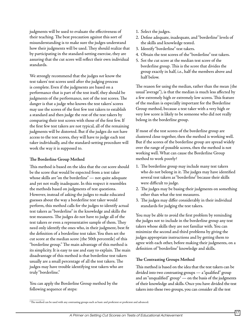judgments will be used to evaluate the effectiveness of their teaching. The best precaution against this sort of misunderstanding is to make sure the judges understand how their judgments will be used. They should realize that by participating in the standard-setting exercise, they are assuring that the cut score will reflect their own individual standards.

We strongly recommend that the judges *not* know the test takers' test scores until after the judging process is complete. Even if the judgments are based on a performance that is part of the test itself, they should be judgments of the performance, not of the test scores. The danger is that a judge who knows the test takers' scores may use the scores of the first few test takers to establish a standard and then judge the rest of the test takers by comparing their test scores with those of the first few. If the first few test takers are not typical, all of the remaining judgments will be distorted. But if the judges do not have access to the test scores, they will have to judge each test taker individually, and the standard-setting procedure will work the way it is supposed to.

#### **The Borderline Group Method**

This method is based on the idea that the cut score should be the score that would be expected from a test taker whose skills are "on the borderline" — not quite adequate and yet not really inadequate. In this respect it resembles the methods based on judgments of test questions. However, instead of asking the judges to make educated guesses about the way a borderline test taker would perform, this method calls for the judges to identify actual test takers as "borderline" in the knowledge and skills the test measures. The judges do not have to judge all of the test takers or even a representative sample of them. They need only identify the ones who, in their judgment, best fit the definition of a borderline test taker. You then set the cut score at the median score (the 50th percentile) of this "borderline group." The main advantage of this method is its simplicity. It is easy to use and easy to explain. The main disadvantage of this method is that borderline test takers usually are a small percentage of all the test takers. The judges may have trouble identifying test takers who are truly "borderline."

You can apply the Borderline Group method by the following sequence of steps:

- 1. Select the judges.
- 2. Define adequate, inadequate, and "borderline" levels of the skills and knowledge tested.
- 3. Identify "borderline" test takers.
- 4. Obtain the test scores of the "borderline" test takers.
- 5. Set the cut score at the median test score of the borderline group. This is the score that divides the group exactly in half, i.e., half the members above and half below.

The reason for using the median, rather than the mean (the usual "average"), is that the median is much less affected by a few extremely high or extremely low scores. This feature of the median is especially important for the Borderline Group method, because a test taker with a very high or very low score is likely to be someone who did not really belong in the borderline group.

If most of the test scores of the borderline group are clustered close together, then the method is working well. But if the scores of the borderline group are spread widely over the range of possible scores, then the method is not working well. What can cause the Borderline Group method to work poorly?

- 1. The borderline group may include many test takers who do not belong in it. The judges may have identified several test takers as "borderline" because their skills were difficult to judge.
- 2. The judges may be basing their judgments on something other than what the test measures.
- 3. The judges may differ considerably in their individual standards for judging the test takers.

You may be able to avoid the first problem by reminding the judges not to include in the borderline group any test takers whose skills they are not familiar with. You can minimize the second and third problems by giving the judges appropriate instructions and by getting them to agree with each other, before making their judgments, on a definition of "borderline" knowledge and skills.

# **The Contrasting Groups Method**

This method is based on the idea that the test takers can be divided into two contrasting groups — a "qualified" group and an "unqualified" group<sup>3</sup> — on the basis of the judgments of their knowledge and skills. Once you have divided the test takers into these two groups, you can consider all the test

<sup>&</sup>lt;sup>3</sup>The method can be used with any contrasting groups such as basic and proficient or proficient and advanced.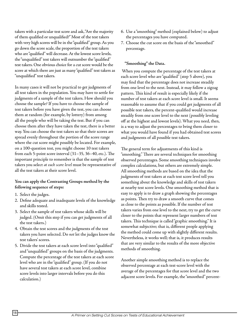takers with a particular test score and ask, "Are the majority of them qualified or unqualified?" Most of the test takers with very high scores will be in the "qualified" group. As you go down the score scale, the proportion of the test takers who are "qualified" will decrease. At the lowest score levels, the "unqualified" test takers will outnumber the "qualified" test takers. One obvious choice for a cut score would be the score at which there are just as many "qualified" test takers as "unqualified" test takers.

In many cases it will not be practical to get judgments of all test takers in the population. You may have to settle for judgments of a sample of the test takers. How should you choose the sample? If you have to choose the sample of test takers before you have given the test, you can choose them at random (for example, by lottery) from among all the people who will be taking the test. But if you can choose them after they have taken the test, there is a better way. You can choose the test takers so that their scores are spread evenly throughout the portion of the score range where the cut score might possibly be located. For example, on a 100-question test, you might choose 10 test takers from each 5-point score interval (31–35, 36–40, etc.). The important principle to remember is that the sample of test takers you select *at each score level* must be representative of all the test takers at their score level.

#### **You can apply the Contrasting Groups method by the following sequence of steps:**

- 1. Select the judges.
- 2. Define adequate and inadequate levels of the knowledge and skills tested.
- 3. Select the sample of test takers whose skills will be judged. (Omit this step if you can get judgments of all the test takers.)
- 4. Obtain the test scores and the judgments of the test takers you have selected. Do *not* let the judges know the test takers' scores.
- 5. Divide the test takers at each score level into "qualified" and "unqualified" groups on the basis of the judgments. Compute the percentage of the test takers at each score level who are in the "qualified" group. (If you do not have several test takers at each score level, combine score levels into larger intervals before you do this calculation.)
- 6. Use a "smoothing" method (explained below) to adjust the percentages you have computed.
- 7. Choose the cut score on the basis of the "smoothed" percentage.

# **"Smoothing" the Data.**

 When you compute the percentage of the test takers at each score level who are "qualified" (step 5 above), you may find that the percentage does not increase steadily from one level to the next. Instead, it may follow a zigzag pattern. This kind of result is especially likely if the number of test takers at each score level is small. It seems reasonable to assume that if you could get judgments of all possible test takers, the percent-qualified would increase steadily from one score level to the next (possibly leveling off at the highest and lowest levels). What you need, then, is a way to adjust the percentages to bring them closer to what you would have found if you had obtained test scores and judgments of all possible test takers.

The general term for adjustments of this kind is "smoothing." There are several techniques for smoothing observed percentages. Some smoothing techniques involve complex calculations, but others are extremely simple. All smoothing methods are based on the idea that the judgments of test takers at each test score level tell you something about the knowledge and skills of test takers at nearby test score levels. One smoothing method that is easy to apply is to draw a graph showing the percentages as points. Then try to draw a smooth curve that comes as close to the points as possible. If the number of test takers varies from one level to the next, try to get the curve closer to the points that represent larger numbers of test takers. This technique is called "graphic smoothing." It is somewhat subjective; that is, different people applying the method could come up with slightly different results. Nevertheless, it works well; that is, it produces results that are very similar to the results of the more objective methods of smoothing.

Another simple smoothing method is to replace the observed percentage at each test-score level with the average of the percentages for that score level and the two adjacent score levels. For example, the "smoothed" percent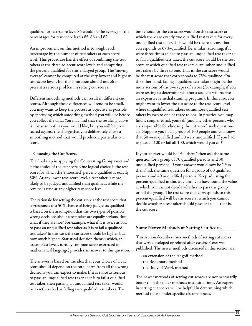qualified for test-score level 86 would be the average of the percentages for test-score levels 85, 86 and 87.

An improvement on this method is to weight each percentage by the number of test takers at each score level. This procedure has the effect of combining the test takers at the three adjacent score levels and computing the percent-qualified for this enlarged group. The "moving average" cannot be computed at the very lowest and highest test-score levels, but this limitation should not often present a serious problem in setting cut scores.

Different smoothing methods can result in different cut scores. Although these differences will tend to be small, you may want to keep the process as objective as possible by specifying which smoothing method you will use before you collect the data. You may find that the resulting curve is not as smooth as you would like, but you will be protected against the charge that you deliberately chose a smoothing method that would produce a particular cut score.

# **Choosing the Cut Score.**

The final step in applying the Contrasting Groups method is the choice of the cut score. One logical choice is the test score for which the "smoothed" percent-qualified is exactly 50%. At any lower test-score level, a test taker is more likely to be judged unqualified than qualified, while the reverse is true at any higher test-score level.

The rationale for setting the cut score at the test score that corresponds to a 50% chance of being judged as qualified is based on the assumption that the two types of possible wrong decisions about a test taker are equally serious. But what if they are not? For example, what if it is twice as bad to pass an unqualified test taker as it is to fail a qualified test taker? In this case, the cut score should be higher, but how much higher? Statistical decision theory (which, at its simplest levels, is really common sense expressed in mathematical language) provides an answer to this question.

The answer is based on the idea that your choice of a cut score should depend on the total harm from all the wrong decisions you can expect to make. If it is twice as serious to pass an unqualified test taker as it is to fail a qualified test taker, then passing an unqualified test taker would be exactly as bad as failing two qualified test takers. The

best choice for the cut score would be the test score at which there are exactly two qualified test takers for every unqualified test taker. This would be the test score that corresponds to 67%-qualified. By similar reasoning, if it were three times as bad to pass an unqualified test taker as to fail a qualified test taker, the cut score would be the test score at which qualified test takers outnumber unqualified test takers by three to one. That is, the cut score would be the test score that corresponds to 75%-qualified. On the other hand, failing a qualified test taker might be the more serious of the two types of errors (for example, if you were testing to determine whether a student will receive an expensive remedial training program). In this case, you might want to lower the cut score to the test-score level where unqualified test takers outnumber qualified test takers by two to one or three to one. In practice, you may find it simpler to ask yourself (and any other persons who are responsible for choosing the cut score) such questions as: "Suppose you had a group of 100 people and you knew that 50 were qualified and 50 were unqualified. If you had to pass all 100 or fail all 100, which would you do?"

If your answer would be "Fail them," then ask the same question for a group of 70 qualified persons and 30 unqualified persons. If your answer would now be "Pass them," ask the same question for a group of 60 qualified persons and 40 unqualified persons. Keep adjusting the percent-qualified in this way until you have found the value at which you cannot decide whether to pass the group or fail the group. The test score that corresponds to this percent-qualified will be the score at which you cannot decide whether a test taker should pass or fail — that is, the cut score.

# **Some Newer Methods of Setting Cut Scores**

This section describes three methods of setting cut scores that were developed or refined after *Passing Scores* was published. The newer methods discussed in this section are:

- an extension of the Angoff method
- the Bookmark method
- the Body of Work method

The newer methods of setting cut scores are not necessarily better than the older methods in all situations. An expert in setting cut scores will be helpful in determining which method to use under specific circumstances.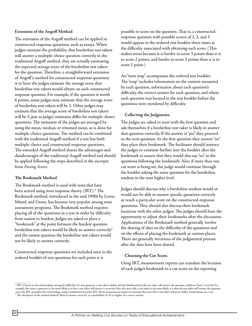#### **Extension of the Angoff Method**

The extension of the Angoff method can be applied to constructed-response questions, such as essays. When judges estimate the probability that borderline test takers will answer a multiple-choice question correctly in the traditional Angoff method, they are actually estimating the expected average score of the borderline test takers for the question. Therefore, a straightforward extension of Angoff 's method for constructed-response questions is to have the judges estimate the average score that borderline test takers would obtain on each constructed response question. For example, if the question is worth 6 points, some judges may estimate that the average score of borderline test takers will be 2. Other judges may estimate that the average score of borderline test takers will be 3, just as judges' estimates differ for multiple-choice questions. The estimates of the judges are averaged by using the mean, median, or trimmed mean, as is done for multiple-choice questions. The method can be combined with the traditional Angoff method if a test has both multiple-choice and constructed-response questions. The extended Angoff method shares the advantages and disadvantages of the traditional Angoff method and should be applied following the steps described in the excerpts from *Passing Scores*.

#### **The Bookmark Method**

The Bookmark method is used with tests that have been scored using item response theory (IRT). $\rm ^4$  The Bookmark method, introduced in the mid 1990s by Lewis, Mitzel, and Green, has become very popular among state assessment programs. The Bookmark method requires placing all of the questions in a test in order by difficulty from easiest to hardest. Judges are asked to place a "bookmark" at the point between the hardest question borderline test takers would be likely to answer correctly<sup>5</sup> and the easiest question the borderline test takers would not be likely to answer correctly.

Constructed-response questions are included once in the ordered booklet of test questions for each point it is

possible to score on the question. That is, a constructedresponse question with possible scores of 1, 2, and 3 would appear in the ordered test booklet three times at the difficulty associated with obtaining each score. (This makes sense because it is harder to score 3 points than it is to score 2 points, and harder to score 2 points than it is to score 1 point.)

An "item map" accompanies the ordered test booklet. The "map" includes information on the content measured by each question, information about each question's difficulty, the correct answer for each question, and where each question was located in the test booklet before the questions were reordered by difficulty.

#### **Collecting the Judgments.**

The judges are asked to start with the first question and ask themselves if a borderline test taker is likely to answer that question correctly. If the answer is "yes" they proceed to the next question. At the first question they answer "no" they place their bookmark. The facilitator should instruct the judges to continue further into the booklet after the bookmark to ensure that they would also say "no" to the questions following the bookmark. Also, if more than one cut score is being set, the judge would continue through the booklet asking the same question for the borderline student in the next higher level.

Judges should discuss why a borderline student would or would not be able to answer specific questions correctly or reach a particular score on the constructed-response questions. They should also discuss their bookmark locations with the other judges. The judges should have the opportunity to adjust their bookmarks after the discussion. Applications of the Bookmark method generally involve the sharing of data on the difficulty of the questions and on the effects of placing the bookmark at various places. There are generally iterations of the judgmental process after the data have been shared.

#### **Choosing the Cut Score.**

Using IRT, measurement experts can translate the location of each judge's bookmark to a cut score on the reporting

<sup>4</sup> IRT is based on the relationships among the difficulty of a test question, a test taker's ability, and the likelihood that the test taker will answer the question (called an "item") correctly. For example, the easier a question is, the more likely it is that a test taker will answer it correctly. Also, the more able a test taker is, the more likely it is that the test taker will answer the question correctly. IRT quantifies the relationships using a mathematical model. IRT allows measurement experts to estimate the score that a test taker of known ability would obtain on a test.<br><sup>5</sup> The developers of the method defin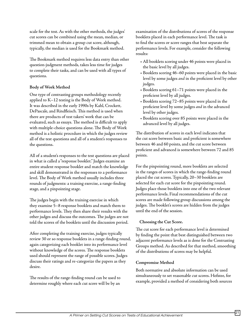scale for the test. As with the other methods, the judges' cut scores can be combined using the mean, median, or trimmed mean to obtain a group cut score, although, typically, the median is used for the Bookmark method.

The Bookmark method requires less data entry than other question-judgment methods, takes less time for judges to complete their tasks, and can be used with all types of questions.

# **Body of Work Method**

One type of contrasting groups methodology recently applied to K–12 testing is the Body of Work method. It was described in the early 1990s by Kahl, Crockett, DePascale, and Rindfleisch. This method is used when there are products of test takers' work that can be evaluated, such as essays. The method is difficult to apply with multiple-choice questions alone. The Body of Work method is a holistic procedure in which the judges review all of the test questions and all of a student's responses to the questions.

All of a student's responses to the test questions are placed in what is called a "response booklet." Judges examine an entire student response booklet and match the knowledge and skill demonstrated in the responses to a performance level. The Body of Work method usually includes three rounds of judgments: a training exercise, a range-finding stage, and a pinpointing stage.

The judges begin with the training exercise in which they examine 5–8 response booklets and match them to performance levels. They then share their results with the other judges and discuss the outcomes. The judges are not told the scores of the booklets until the discussion period.

After completing the training exercise, judges typically review 30 or so response booklets in a range-finding round, again categorizing each booklet into its performance level without knowledge of the scores. The response booklets used should represent the range of possible scores. Judges discuss their ratings and re-categorize the papers as they desire.

The results of the range-finding round can be used to determine roughly where each cut score will be by an

examination of the distributions of scores of the response booklets placed in each performance level. The task is to find the scores or score ranges that best separate the performance levels. For example, consider the following results:

- All booklets scoring under 46 points were placed in the basic level by all judges.
- Booklets scoring 46–60 points were placed in the basic level by some judges *and* in the proficient level by other judges.
- Booklets scoring 61–71 points were placed in the proficient level by all judges.
- Booklets scoring 72–85 points were placed in the proficient level by some judges *and* in the advanced level by other judges.
- Booklets scoring over 85 points were placed in the advanced level by all judges.

The distribution of scores in each level indicates that the cut score between basic and proficient is somewhere between 46 and 60 points, and the cut score between proficient and advanced is somewhere between 72 and 85 points.

For the pinpointing round, more booklets are selected in the ranges of scores in which the range-finding round placed the cut scores. Typically, 20–30 booklets are selected for each cut score for the pinpointing round. Judges place those booklets into one of the two relevant performance levels. Final recommendations of the cut scores are made following group discussions among the judges. The booklet's scores are hidden from the judges until the end of the session.

# **Choosing the Cut Score.**

The cut score for each performance level is determined by finding the point that best distinguished between two adjacent performance levels as is done for the Contrasting Groups method. As described for that method, smoothing of the distributions of scores may be helpful.

# **Compromise Method**

Both normative and absolute information can be used simultaneously to set reasonable cut scores. Hofstee, for example, provided a method of considering both sources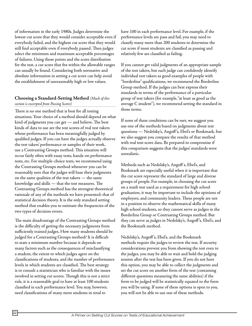of information in the early 1980s. Judges determine the lowest cut score that they would consider acceptable even if everybody failed, and the highest cut score that they would still find acceptable even if everybody passed. Then judges select the minimum and maximum acceptable percentages of failures. Using those points and the score distribution for the test, a cut score that fits within the allowable ranges can usually be found. Considering both normative and absolute information in setting a cut score can help avoid the establishment of unreasonably high or low values.

#### **Choosing a Standard-Setting Method** *(Much of this section is excerpted from Passing Scores)*

There is no one method that is best for all testing situations. Your choice of a method should depend on what kind of judgments you can get — and believe. The best kinds of data to use are the test scores of real test takers whose performance has been meaningfully judged by qualified judges. If you can have the judges actually observe the test takers' performance or samples of their work, use a Contrasting Groups method. This situation will occur fairly often with essay tests, hands-on performance tests, etc. For multiple-choice tests, we recommend using the Contrasting Groups method whenever you can be reasonably sure that the judges will base their judgments on the same qualities of the test takers — the same knowledge and skills — that the test measures. The Contrasting Groups method has the strongest theoretical rationale of any of the methods we have presented: that of statistical decision theory. It is the only standard setting method that enables you to estimate the frequencies of the two types of decision errors.

The main disadvantage of the Contrasting Groups method is the difficulty of getting the necessary judgments from sufficiently trained judges. How many students should be judged for a Contrasting Groups method? It is difficult to state a minimum number because it depends on many factors such as the consequences of misclassifying a student, the extent to which judges agree on the classifications of students, and the number of performance levels in which students are classified. The best strategy is to consult a statistician who is familiar with the issues involved in setting cut scores. Though this is not a strict rule, it is a reasonable goal to have at least 100 students classified in each performance level. You may, however, need classifications of many more students in total to

have 100 in each performance level. For example, if the performance levels are pass and fail, you may need to classify many more than 200 students to determine the cut score if most students are classified as passing and relatively few are classified as failing.

If you cannot get valid judgments of an appropriate sample of the test takers, but each judge can confidently identify individual test takers as good examples of people with "borderline" qualifications, we recommend the Borderline Group method. If the judges can best express their standards in terms of the performance of a particular group of test takers (for example, "at least as good as the average C student"), we recommend setting the standard in those terms.

If none of these conditions can be met, we suggest you use one of the methods based on judgments about test questions — Nedelsky's, Angoff 's, Ebel's or Bookmark, but we also suggest you compare the results of that method with real test-score data. Be prepared to compromise if this comparison suggests that the judges' standards were unrealistic.

Methods such as Nedelsky's, Angoff s, Ebel's, and Bookmark are especially useful when it is important that the cut score represent the standard of large and diverse groups of people. For example, in choosing the cut score on a math test used as a requirement for high school graduation, it may be important to include the opinions of employers, and community leaders. These people are not in a position to observe the mathematical skills of many high school students, so they cannot serve as judges in the Borderline Group or Contrasting Groups method. But they can serve as judges in Nedelsky's, Angoff 's, Ebel's, and the Bookmark method.

Nedelsky's, Angoff 's, Ebel's, and the Bookmark methods require the judges to review the test. If security considerations prevent you from showing the test even to the judges, you may be able to wait and hold the judging session after the test has been given. If you do not have this option, you may be able to collect the judgments and set the cut score on another form of the test (containing different questions measuring the same abilities) if the form to be judged will be statistically equated to the form you will be using. If none of these options is open to you, you will not be able to use one of these methods.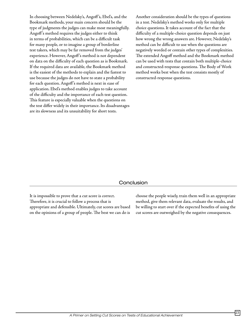In choosing between Nedelsky's, Angoff 's, Ebel's, and the Bookmark methods, your main concern should be the type of judgments the judges can make most meaningfully. Angoff 's method requires the judges either to think in terms of probabilities, which can be a difficult task for many people, or to imagine a group of borderline test takers, which may be far removed from the judges' experience. However, Angoff 's method is not dependent on data on the difficulty of each question as is Bookmark. If the required data are available, the Bookmark method is the easiest of the methods to explain and the fastest to use because the judges do not have to state a probability for each question. Angoff 's method is next in ease of application. Ebel's method enables judges to take account of the difficulty and the importance of each test question. This feature is especially valuable when the questions on the test differ widely in their importance. Its disadvantages are its slowness and its unsuitability for short tests.

Another consideration should be the types of questions in a test. Nedelsky's method works only for multiple choice questions. It takes account of the fact that the difficulty of a multiple-choice question depends on just how wrong the wrong answers are. However, Nedelsky's method can be difficult to use when the questions are negatively worded or contain other types of complexities. The extended Angoff method and the Bookmark method can be used with tests that contain both multiple-choice and constructed-response questions. The Body of Work method works best when the test consists mostly of constructed-response questions.

# Conclusion

It is impossible to prove that a cut score is correct. Therefore, it is crucial to follow a process that is appropriate and defensible. Ultimately, cut scores are based on the opinions of a group of people. The best we can do is

choose the people wisely, train them well in an appropriate method, give them relevant data, evaluate the results, and be willing to start over if the expected benefits of using the cut scores are outweighed by the negative consequences.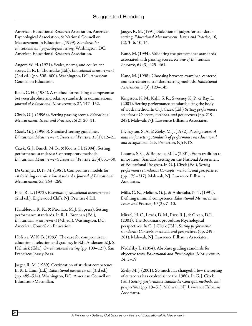American Educational Research Association, American Psychological Association, & National Council on Measurement in Education. (1999). *Standards for educational and psychological testing*. Washington, DC: American Educational Research Association.

Angoff, W. H. (1971). Scales, norms, and equivalent scores. In R. L. Thorndike (Ed.), *Educational measurement* (2nd ed.) (pp. 508–600). Washington, DC: American Council on Education.

Beuk, C. H. (1984). A method for reaching a compromise between absolute and relative standards in examinations. *Journal of Educational Measurement*, *21*, 147–152.

Cizek, G. J. (1996a). Setting passing scores. *Educational Measurement: Issues and Practice*, *15*(2), 20–31.

Cizek, G. J. (1996b). Standard-setting guidelines. *Educational Measurement: Issues and Practice*, *15*(1), 12–21.

Cizek, G. J., Bunch, M. B., & Koons, H. (2004). Setting performance standards: Contemporary methods. *Educational Measurement: Issues and Practice*, *23*(4), 31–50.

De Gruijter, D. N. M. (1985). Compromise models for establishing examination standards. *Journal of Educational Measurement*, *22*, 263–269.

Ebel, R. L. (1972). *Essentials of educational measurement* (2nd ed.). Englewood Cliffs, NJ: Prentice-Hall.

Hambleton, R. K., & Pitoniak, M. J. (in press). Setting performance standards. In R. L. Brennan (Ed.), *Educational measurement* (4th ed.). Washington, DC: American Council on Education.

Hofstee, W. K. B. (1983). The case for compromise in educational selection and grading. In S.B. Anderson & J. S. Helmick (Eds.), *On educational testing* (pp. 109–127). San Francisco: Jossey-Bass.

Jaeger, R. M. (1989). Certification of student competence. In R. L. Linn (Ed.), *Educational measurement* (3rd ed.) (pp. 485–514). Washington, DC: American Council on Education/Macmillan.

Jaeger, R. M. (1991). Selection of judges for standardsetting. *Educational Measurement: Issues and Practice*, *10*, (2), 3–6, 10, 14.

Kane, M. (1994). Validating the performance standards associated with passing scores. *Review of Educational Research*, *64* (3), 425–461.

Kane, M. (1998). Choosing between examinee-centered and test-centered standard-setting methods. *Educational Assessment*, *5* (3), 129–145.

Kingston, N. M., Kahl, S. R., Sweeney, K. P., & Bay, L. (2001). Setting performance standards using the body of work method. In G. J. Cizek (Ed.) *Setting performance standards: Concepts, methods, and perspectives* (pp. 219– 248). Mahwah, NJ: Lawrence Erlbaum Associates.

Livingston, S. A. & Zieky, M. J. (1982). *Passing scores: A manual for setting standards of performance on educational and occupational tests*. Princeton, NJ: ETS.

Loomis, S. C., & Bourque, M. L. (2001). From tradition to innovation: Standard setting on the National Assessment of Educational Progress. In G. J. Cizek (Ed.), *Setting performance standards: Concepts, methods, and perspectives* (pp. 175–217). Mahwah, NJ: Lawrence Erlbaum Associates.

Mills, C. N., Melican, G. J., & Ahluwalia, N. T. (1991). Defining minimal competence. *Educational Measurement: Issues and Practice*, *10* (2), 7–10.

Mitzel, H. C., Lewis, D. M., Patz, R.J., & Green, D.R. (2001). The Bookmark procedure: Psychological perspectives. In G. J. Cizek (Ed.), *Setting performance standards: Concepts, methods, and perspectives* (pp. 249– 281). Mahwah, NJ: Lawrence Erlbaum Associates.

Nedelsky, L. (1954). Absolute grading standards for objective tests. *Educational and Psychological Measurement*, *14*, 3–19.

Zieky M. J. (2001). So much has changed: How the setting of cutscores has evolved since the 1980s. In G. J. Cizek (Ed.) *Setting performance standards: Concepts, methods, and perspectives* (pp. 19–51). Mahwah, NJ: Lawrence Erlbaum Associates.